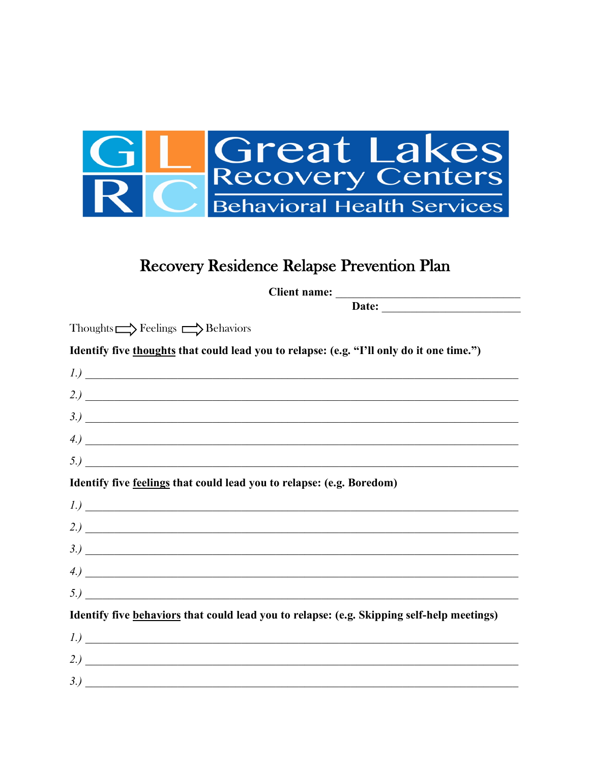

## Recovery Residence Relapse Prevention Plan

Client name: Date:

| Identify five thoughts that could lead you to relapse: (e.g. "I'll only do it one time.")                                                                                                                                                                                                                                                               |
|---------------------------------------------------------------------------------------------------------------------------------------------------------------------------------------------------------------------------------------------------------------------------------------------------------------------------------------------------------|
| 1)                                                                                                                                                                                                                                                                                                                                                      |
| 2)                                                                                                                                                                                                                                                                                                                                                      |
| 3.)                                                                                                                                                                                                                                                                                                                                                     |
|                                                                                                                                                                                                                                                                                                                                                         |
|                                                                                                                                                                                                                                                                                                                                                         |
| Identify five feelings that could lead you to relapse: (e.g. Boredom)                                                                                                                                                                                                                                                                                   |
| $1)$ $\overline{\phantom{a}}$                                                                                                                                                                                                                                                                                                                           |
|                                                                                                                                                                                                                                                                                                                                                         |
|                                                                                                                                                                                                                                                                                                                                                         |
| $\left(4.\right)$                                                                                                                                                                                                                                                                                                                                       |
| 5.)                                                                                                                                                                                                                                                                                                                                                     |
| Identify five behaviors that could lead you to relapse: (e.g. Skipping self-help meetings)                                                                                                                                                                                                                                                              |
| $\left I_{\cdot}\right\rangle$ $\qquad \qquad$ $\qquad$ $\qquad$ $\qquad$ $\qquad$ $\qquad$ $\qquad$ $\qquad$ $\qquad$ $\qquad$ $\qquad$ $\qquad$ $\qquad$ $\qquad$ $\qquad$ $\qquad$ $\qquad$ $\qquad$ $\qquad$ $\qquad$ $\qquad$ $\qquad$ $\qquad$ $\qquad$ $\qquad$ $\qquad$ $\qquad$ $\qquad$ $\qquad$ $\qquad$ $\qquad$ $\qquad$ $\qquad$ $\qquad$ |
|                                                                                                                                                                                                                                                                                                                                                         |
|                                                                                                                                                                                                                                                                                                                                                         |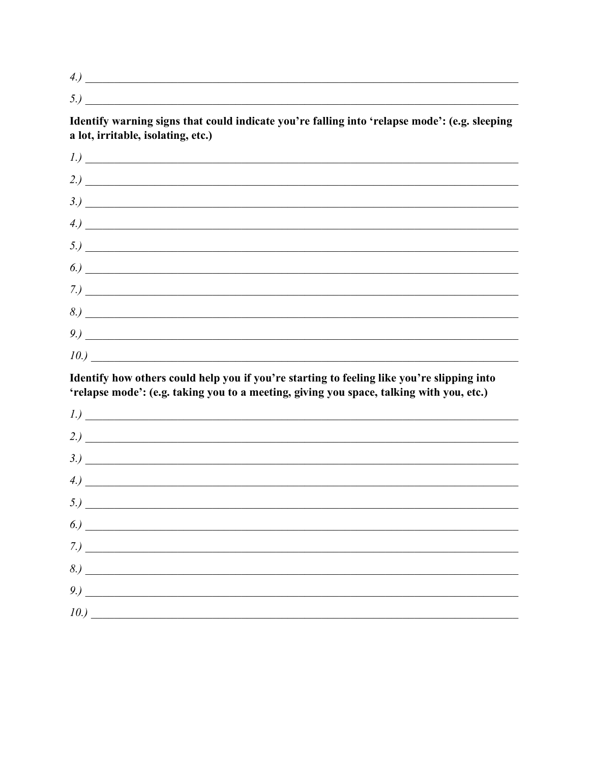$4.)$ 

Identify warning signs that could indicate you're falling into 'relapse mode': (e.g. sleeping a lot, irritable, isolating, etc.)

| $1.) \fbox{---}$                                                          |  |  |
|---------------------------------------------------------------------------|--|--|
|                                                                           |  |  |
| 3.)                                                                       |  |  |
| $\left(4.\right)$                                                         |  |  |
|                                                                           |  |  |
| $\left( \begin{array}{ccc} 6. & \rule{2.2cm}{0.15mm} \end{array} \right)$ |  |  |
|                                                                           |  |  |
| 8.)                                                                       |  |  |
|                                                                           |  |  |
| 10.)                                                                      |  |  |

Identify how others could help you if you're starting to feeling like you're slipping into 'relapse mode': (e.g. taking you to a meeting, giving you space, talking with you, etc.)

| 2.)                                                                                                                                                                                                                                                                              |  |  |
|----------------------------------------------------------------------------------------------------------------------------------------------------------------------------------------------------------------------------------------------------------------------------------|--|--|
| 3.)                                                                                                                                                                                                                                                                              |  |  |
|                                                                                                                                                                                                                                                                                  |  |  |
|                                                                                                                                                                                                                                                                                  |  |  |
| (5.)<br>$\sim$ 0.) $\sim$ 0.000 $\sim$ 0.000 $\sim$ 0.000 $\sim$ 0.000 $\sim$ 0.000 $\sim$ 0.000 $\sim$ 0.000 $\sim$ 0.000 $\sim$ 0.000 $\sim$ 0.000 $\sim$ 0.000 $\sim$ 0.000 $\sim$ 0.000 $\sim$ 0.000 $\sim$ 0.000 $\sim$ 0.000 $\sim$ 0.000 $\sim$ 0.000 $\sim$ 0.000 $\sim$ |  |  |
| 7.)                                                                                                                                                                                                                                                                              |  |  |
|                                                                                                                                                                                                                                                                                  |  |  |
|                                                                                                                                                                                                                                                                                  |  |  |
|                                                                                                                                                                                                                                                                                  |  |  |
|                                                                                                                                                                                                                                                                                  |  |  |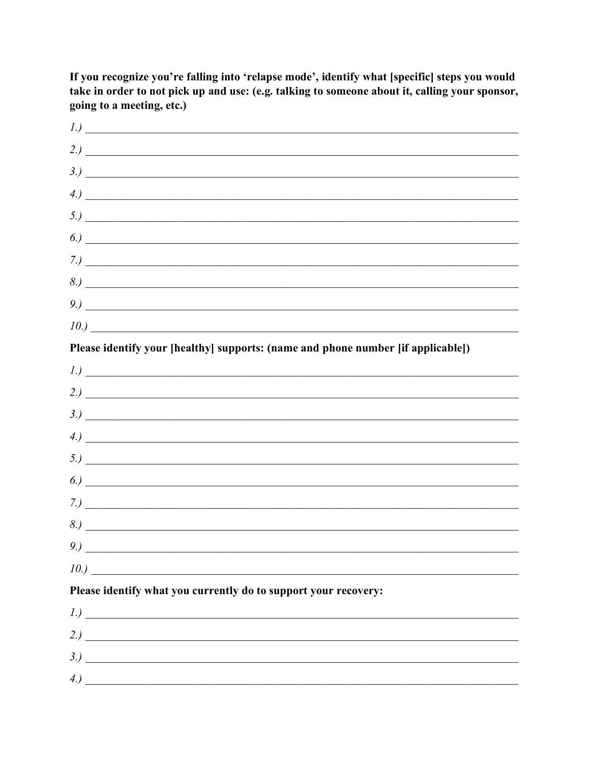$1.$ )  $\left(4.02\right)$  $5.)$  $\overline{6.}$  $(7.)$  $10.)$ Please identify your [healthy] supports: (name and phone number [if applicable])  $2.$ )  $3.)$  $(5.)$  $\sim$  0.1  $\sim$  0.1  $\sim$  0.1  $\sim$  0.1  $\sim$  0.1  $\sim$  0.1  $\sim$  0.1  $\sim$  0.1  $\sim$  0.1  $\sim$  0.1  $\sim$  0.1  $\sim$  0.1  $\sim$  0.1  $\sim$  0.1  $\sim$  0.1  $\sim$  0.1  $\sim$  0.1  $\sim$  0.1  $\sim$  0.1  $\sim$  0.1  $\sim$  0.1  $\sim$  0.1  $\sim$  0.1  $\sim$  0.1  $\sim$   $\mathcal{I}$ .)  $9)$  $10.)$ Please identify what you currently do to support your recovery:  $1)$   $\overline{\phantom{a}}$  $2)$   $\overline{\phantom{a}}$  $3.$ ) 

If you recognize you're falling into 'relapse mode', identify what [specific] steps you would take in order to not pick up and use: (e.g. talking to someone about it, calling your sponsor, going to a meeting, etc.)